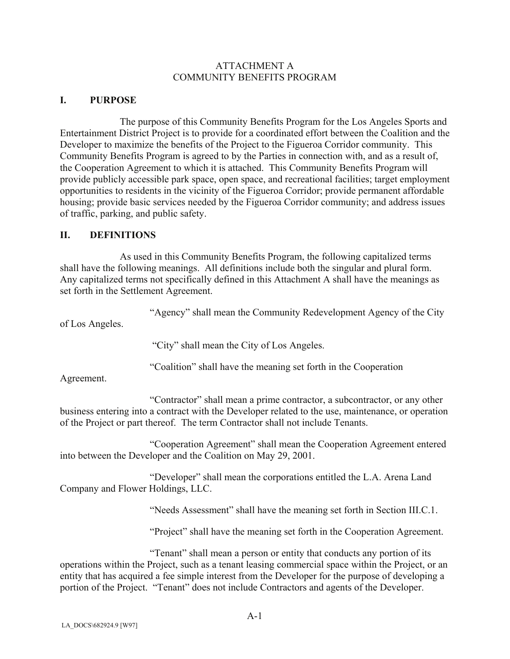### ATTACHMENT A COMMUNITY BENEFITS PROGRAM

### **I. PURPOSE**

The purpose of this Community Benefits Program for the Los Angeles Sports and Entertainment District Project is to provide for a coordinated effort between the Coalition and the Developer to maximize the benefits of the Project to the Figueroa Corridor community. This Community Benefits Program is agreed to by the Parties in connection with, and as a result of, the Cooperation Agreement to which it is attached. This Community Benefits Program will provide publicly accessible park space, open space, and recreational facilities; target employment opportunities to residents in the vicinity of the Figueroa Corridor; provide permanent affordable housing; provide basic services needed by the Figueroa Corridor community; and address issues of traffic, parking, and public safety.

### **II. DEFINITIONS**

As used in this Community Benefits Program, the following capitalized terms shall have the following meanings. All definitions include both the singular and plural form. Any capitalized terms not specifically defined in this Attachment A shall have the meanings as set forth in the Settlement Agreement.

"Agency" shall mean the Community Redevelopment Agency of the City

of Los Angeles.

"City" shall mean the City of Los Angeles.

"Coalition" shall have the meaning set forth in the Cooperation

Agreement.

 "Contractor" shall mean a prime contractor, a subcontractor, or any other business entering into a contract with the Developer related to the use, maintenance, or operation of the Project or part thereof. The term Contractor shall not include Tenants.

 "Cooperation Agreement" shall mean the Cooperation Agreement entered into between the Developer and the Coalition on May 29, 2001.

 "Developer" shall mean the corporations entitled the L.A. Arena Land Company and Flower Holdings, LLC.

"Needs Assessment" shall have the meaning set forth in Section III.C.1.

"Project" shall have the meaning set forth in the Cooperation Agreement.

 "Tenant" shall mean a person or entity that conducts any portion of its operations within the Project, such as a tenant leasing commercial space within the Project, or an entity that has acquired a fee simple interest from the Developer for the purpose of developing a portion of the Project. "Tenant" does not include Contractors and agents of the Developer.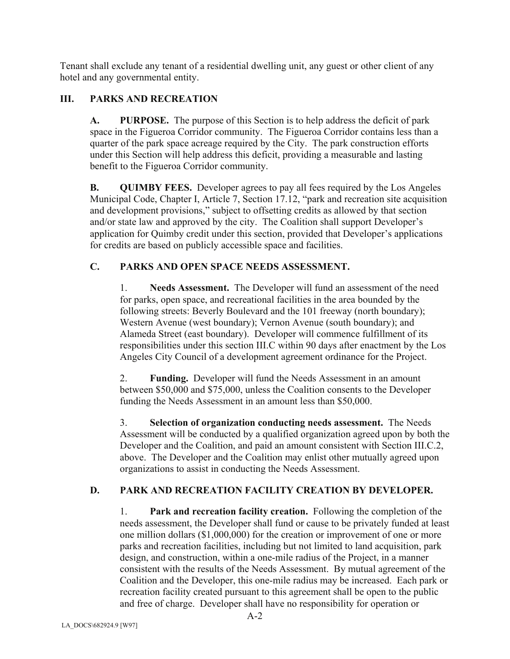Tenant shall exclude any tenant of a residential dwelling unit, any guest or other client of any hotel and any governmental entity.

# **III. PARKS AND RECREATION**

**A. PURPOSE.** The purpose of this Section is to help address the deficit of park space in the Figueroa Corridor community. The Figueroa Corridor contains less than a quarter of the park space acreage required by the City. The park construction efforts under this Section will help address this deficit, providing a measurable and lasting benefit to the Figueroa Corridor community.

**B. QUIMBY FEES.** Developer agrees to pay all fees required by the Los Angeles Municipal Code, Chapter I, Article 7, Section 17.12, "park and recreation site acquisition and development provisions," subject to offsetting credits as allowed by that section and/or state law and approved by the city. The Coalition shall support Developer's application for Quimby credit under this section, provided that Developer's applications for credits are based on publicly accessible space and facilities.

### **C. PARKS AND OPEN SPACE NEEDS ASSESSMENT.**

1. **Needs Assessment.** The Developer will fund an assessment of the need for parks, open space, and recreational facilities in the area bounded by the following streets: Beverly Boulevard and the 101 freeway (north boundary); Western Avenue (west boundary); Vernon Avenue (south boundary); and Alameda Street (east boundary). Developer will commence fulfillment of its responsibilities under this section III.C within 90 days after enactment by the Los Angeles City Council of a development agreement ordinance for the Project.

2. **Funding.** Developer will fund the Needs Assessment in an amount between \$50,000 and \$75,000, unless the Coalition consents to the Developer funding the Needs Assessment in an amount less than \$50,000.

3. **Selection of organization conducting needs assessment.** The Needs Assessment will be conducted by a qualified organization agreed upon by both the Developer and the Coalition, and paid an amount consistent with Section III.C.2, above. The Developer and the Coalition may enlist other mutually agreed upon organizations to assist in conducting the Needs Assessment.

# **D. PARK AND RECREATION FACILITY CREATION BY DEVELOPER.**

1. **Park and recreation facility creation.** Following the completion of the needs assessment, the Developer shall fund or cause to be privately funded at least one million dollars (\$1,000,000) for the creation or improvement of one or more parks and recreation facilities, including but not limited to land acquisition, park design, and construction, within a one-mile radius of the Project, in a manner consistent with the results of the Needs Assessment. By mutual agreement of the Coalition and the Developer, this one-mile radius may be increased. Each park or recreation facility created pursuant to this agreement shall be open to the public and free of charge. Developer shall have no responsibility for operation or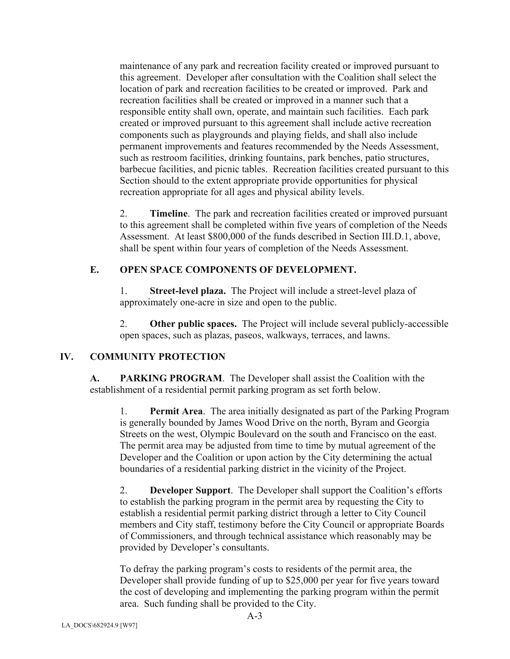maintenance of any park and recreation facility created or improved pursuant to this agreement. Developer after consultation with the Coalition shall select the location of park and recreation facilities to be created or improved. Park and recreation facilities shall be created or improved in a manner such that a responsible entity shall own, operate, and maintain such facilities. Each park created or improved pursuant to this agreement shall include active recreation components such as playgrounds and playing fields, and shall also include permanent improvements and features recommended by the Needs Assessment, such as restroom facilities, drinking fountains, park benches, patio structures, barbecue facilities, and picnic tables. Recreation facilities created pursuant to this Section should to the extent appropriate provide opportunities for physical recreation appropriate for all ages and physical ability levels.

2. **Timeline**. The park and recreation facilities created or improved pursuant to this agreement shall be completed within five years of completion of the Needs Assessment. At least \$800,000 of the funds described in Section III.D.1, above, shall be spent within four years of completion of the Needs Assessment.

# **E. OPEN SPACE COMPONENTS OF DEVELOPMENT.**

1. **Street-level plaza.** The Project will include a street-level plaza of approximately one-acre in size and open to the public.

2. **Other public spaces.** The Project will include several publicly-accessible open spaces, such as plazas, paseos, walkways, terraces, and lawns.

# **IV. COMMUNITY PROTECTION**

**A. PARKING PROGRAM**. The Developer shall assist the Coalition with the establishment of a residential permit parking program as set forth below.

1. **Permit Area**. The area initially designated as part of the Parking Program is generally bounded by James Wood Drive on the north, Byram and Georgia Streets on the west, Olympic Boulevard on the south and Francisco on the east. The permit area may be adjusted from time to time by mutual agreement of the Developer and the Coalition or upon action by the City determining the actual boundaries of a residential parking district in the vicinity of the Project.

2. **Developer Support**. The Developer shall support the Coalition's efforts to establish the parking program in the permit area by requesting the City to establish a residential permit parking district through a letter to City Council members and City staff, testimony before the City Council or appropriate Boards of Commissioners, and through technical assistance which reasonably may be provided by Developer's consultants.

To defray the parking program's costs to residents of the permit area, the Developer shall provide funding of up to \$25,000 per year for five years toward the cost of developing and implementing the parking program within the permit area. Such funding shall be provided to the City.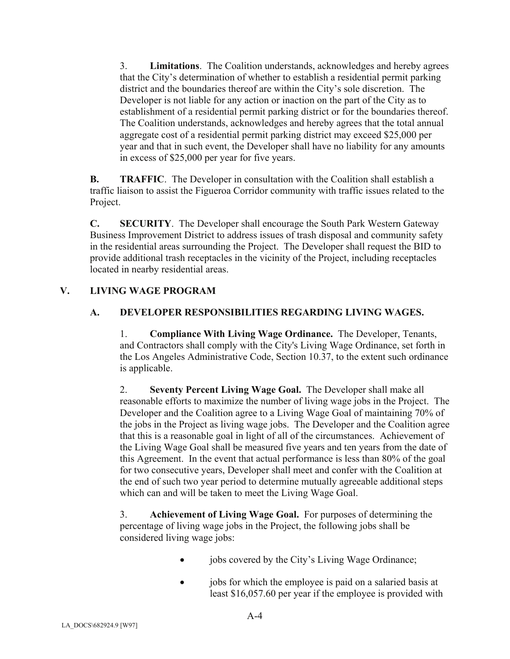3. **Limitations**. The Coalition understands, acknowledges and hereby agrees that the City's determination of whether to establish a residential permit parking district and the boundaries thereof are within the City's sole discretion. The Developer is not liable for any action or inaction on the part of the City as to establishment of a residential permit parking district or for the boundaries thereof. The Coalition understands, acknowledges and hereby agrees that the total annual aggregate cost of a residential permit parking district may exceed \$25,000 per year and that in such event, the Developer shall have no liability for any amounts in excess of \$25,000 per year for five years.

**B.** TRAFFIC. The Developer in consultation with the Coalition shall establish a traffic liaison to assist the Figueroa Corridor community with traffic issues related to the Project.

**C. SECURITY**. The Developer shall encourage the South Park Western Gateway Business Improvement District to address issues of trash disposal and community safety in the residential areas surrounding the Project. The Developer shall request the BID to provide additional trash receptacles in the vicinity of the Project, including receptacles located in nearby residential areas.

# **V. LIVING WAGE PROGRAM**

# **A. DEVELOPER RESPONSIBILITIES REGARDING LIVING WAGES.**

1. **Compliance With Living Wage Ordinance.** The Developer, Tenants, and Contractors shall comply with the City's Living Wage Ordinance, set forth in the Los Angeles Administrative Code, Section 10.37, to the extent such ordinance is applicable.

2. **Seventy Percent Living Wage Goal.** The Developer shall make all reasonable efforts to maximize the number of living wage jobs in the Project. The Developer and the Coalition agree to a Living Wage Goal of maintaining 70% of the jobs in the Project as living wage jobs. The Developer and the Coalition agree that this is a reasonable goal in light of all of the circumstances. Achievement of the Living Wage Goal shall be measured five years and ten years from the date of this Agreement. In the event that actual performance is less than 80% of the goal for two consecutive years, Developer shall meet and confer with the Coalition at the end of such two year period to determine mutually agreeable additional steps which can and will be taken to meet the Living Wage Goal.

3. **Achievement of Living Wage Goal.** For purposes of determining the percentage of living wage jobs in the Project, the following jobs shall be considered living wage jobs:

- jobs covered by the City's Living Wage Ordinance;
- jobs for which the employee is paid on a salaried basis at least \$16,057.60 per year if the employee is provided with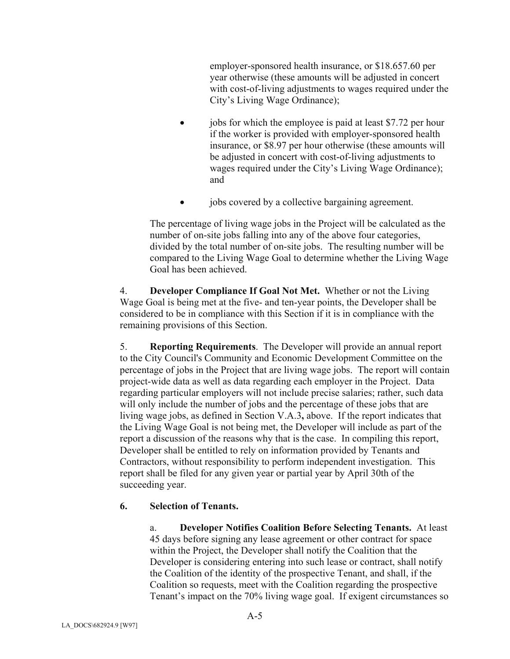employer-sponsored health insurance, or \$18.657.60 per year otherwise (these amounts will be adjusted in concert with cost-of-living adjustments to wages required under the City's Living Wage Ordinance);

- $\bullet$  jobs for which the employee is paid at least \$7.72 per hour if the worker is provided with employer-sponsored health insurance, or \$8.97 per hour otherwise (these amounts will be adjusted in concert with cost-of-living adjustments to wages required under the City's Living Wage Ordinance); and
- jobs covered by a collective bargaining agreement.

The percentage of living wage jobs in the Project will be calculated as the number of on-site jobs falling into any of the above four categories, divided by the total number of on-site jobs. The resulting number will be compared to the Living Wage Goal to determine whether the Living Wage Goal has been achieved.

4. **Developer Compliance If Goal Not Met.** Whether or not the Living Wage Goal is being met at the five- and ten-year points, the Developer shall be considered to be in compliance with this Section if it is in compliance with the remaining provisions of this Section.

5. **Reporting Requirements**. The Developer will provide an annual report to the City Council's Community and Economic Development Committee on the percentage of jobs in the Project that are living wage jobs. The report will contain project-wide data as well as data regarding each employer in the Project. Data regarding particular employers will not include precise salaries; rather, such data will only include the number of jobs and the percentage of these jobs that are living wage jobs, as defined in Section V.A.3**,** above. If the report indicates that the Living Wage Goal is not being met, the Developer will include as part of the report a discussion of the reasons why that is the case. In compiling this report, Developer shall be entitled to rely on information provided by Tenants and Contractors, without responsibility to perform independent investigation. This report shall be filed for any given year or partial year by April 30th of the succeeding year.

### **6. Selection of Tenants.**

a. **Developer Notifies Coalition Before Selecting Tenants.** At least 45 days before signing any lease agreement or other contract for space within the Project, the Developer shall notify the Coalition that the Developer is considering entering into such lease or contract, shall notify the Coalition of the identity of the prospective Tenant, and shall, if the Coalition so requests, meet with the Coalition regarding the prospective Tenant's impact on the 70% living wage goal. If exigent circumstances so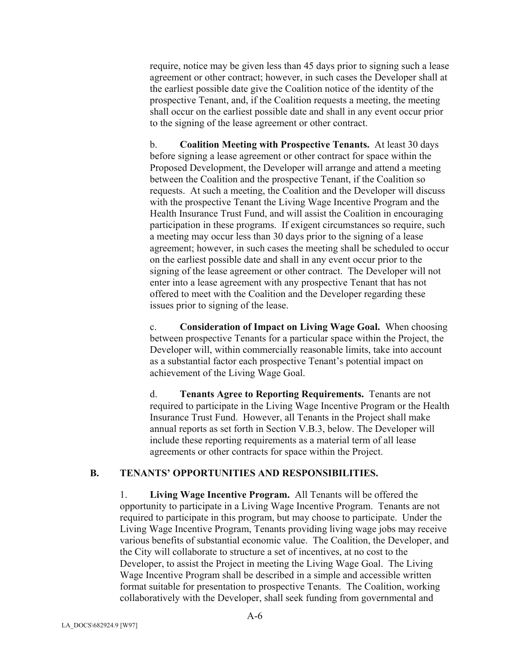require, notice may be given less than 45 days prior to signing such a lease agreement or other contract; however, in such cases the Developer shall at the earliest possible date give the Coalition notice of the identity of the prospective Tenant, and, if the Coalition requests a meeting, the meeting shall occur on the earliest possible date and shall in any event occur prior to the signing of the lease agreement or other contract.

b. **Coalition Meeting with Prospective Tenants.** At least 30 days before signing a lease agreement or other contract for space within the Proposed Development, the Developer will arrange and attend a meeting between the Coalition and the prospective Tenant, if the Coalition so requests. At such a meeting, the Coalition and the Developer will discuss with the prospective Tenant the Living Wage Incentive Program and the Health Insurance Trust Fund, and will assist the Coalition in encouraging participation in these programs. If exigent circumstances so require, such a meeting may occur less than 30 days prior to the signing of a lease agreement; however, in such cases the meeting shall be scheduled to occur on the earliest possible date and shall in any event occur prior to the signing of the lease agreement or other contract. The Developer will not enter into a lease agreement with any prospective Tenant that has not offered to meet with the Coalition and the Developer regarding these issues prior to signing of the lease.

c. **Consideration of Impact on Living Wage Goal.** When choosing between prospective Tenants for a particular space within the Project, the Developer will, within commercially reasonable limits, take into account as a substantial factor each prospective Tenant's potential impact on achievement of the Living Wage Goal.

d. **Tenants Agree to Reporting Requirements.** Tenants are not required to participate in the Living Wage Incentive Program or the Health Insurance Trust Fund. However, all Tenants in the Project shall make annual reports as set forth in Section V.B.3, below. The Developer will include these reporting requirements as a material term of all lease agreements or other contracts for space within the Project.

### **B. TENANTS' OPPORTUNITIES AND RESPONSIBILITIES.**

1. **Living Wage Incentive Program.** All Tenants will be offered the opportunity to participate in a Living Wage Incentive Program. Tenants are not required to participate in this program, but may choose to participate. Under the Living Wage Incentive Program, Tenants providing living wage jobs may receive various benefits of substantial economic value. The Coalition, the Developer, and the City will collaborate to structure a set of incentives, at no cost to the Developer, to assist the Project in meeting the Living Wage Goal. The Living Wage Incentive Program shall be described in a simple and accessible written format suitable for presentation to prospective Tenants. The Coalition, working collaboratively with the Developer, shall seek funding from governmental and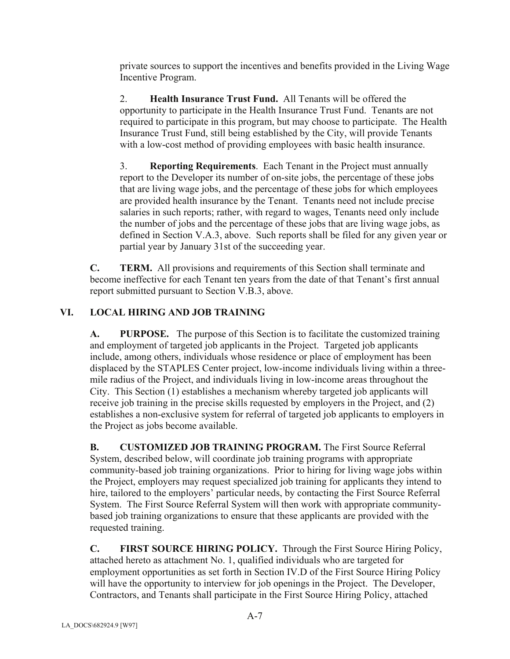private sources to support the incentives and benefits provided in the Living Wage Incentive Program.

2. **Health Insurance Trust Fund.** All Tenants will be offered the opportunity to participate in the Health Insurance Trust Fund. Tenants are not required to participate in this program, but may choose to participate. The Health Insurance Trust Fund, still being established by the City, will provide Tenants with a low-cost method of providing employees with basic health insurance.

3. **Reporting Requirements**. Each Tenant in the Project must annually report to the Developer its number of on-site jobs, the percentage of these jobs that are living wage jobs, and the percentage of these jobs for which employees are provided health insurance by the Tenant. Tenants need not include precise salaries in such reports; rather, with regard to wages, Tenants need only include the number of jobs and the percentage of these jobs that are living wage jobs, as defined in Section V.A.3, above. Such reports shall be filed for any given year or partial year by January 31st of the succeeding year.

**C. TERM.** All provisions and requirements of this Section shall terminate and become ineffective for each Tenant ten years from the date of that Tenant's first annual report submitted pursuant to Section V.B.3, above.

# **VI. LOCAL HIRING AND JOB TRAINING**

**A. PURPOSE.** The purpose of this Section is to facilitate the customized training and employment of targeted job applicants in the Project. Targeted job applicants include, among others, individuals whose residence or place of employment has been displaced by the STAPLES Center project, low-income individuals living within a threemile radius of the Project, and individuals living in low-income areas throughout the City. This Section (1) establishes a mechanism whereby targeted job applicants will receive job training in the precise skills requested by employers in the Project, and (2) establishes a non-exclusive system for referral of targeted job applicants to employers in the Project as jobs become available.

**B. CUSTOMIZED JOB TRAINING PROGRAM.** The First Source Referral System, described below, will coordinate job training programs with appropriate community-based job training organizations. Prior to hiring for living wage jobs within the Project, employers may request specialized job training for applicants they intend to hire, tailored to the employers' particular needs, by contacting the First Source Referral System. The First Source Referral System will then work with appropriate communitybased job training organizations to ensure that these applicants are provided with the requested training.

**C. FIRST SOURCE HIRING POLICY.** Through the First Source Hiring Policy, attached hereto as attachment No. 1, qualified individuals who are targeted for employment opportunities as set forth in Section IV.D of the First Source Hiring Policy will have the opportunity to interview for job openings in the Project. The Developer, Contractors, and Tenants shall participate in the First Source Hiring Policy, attached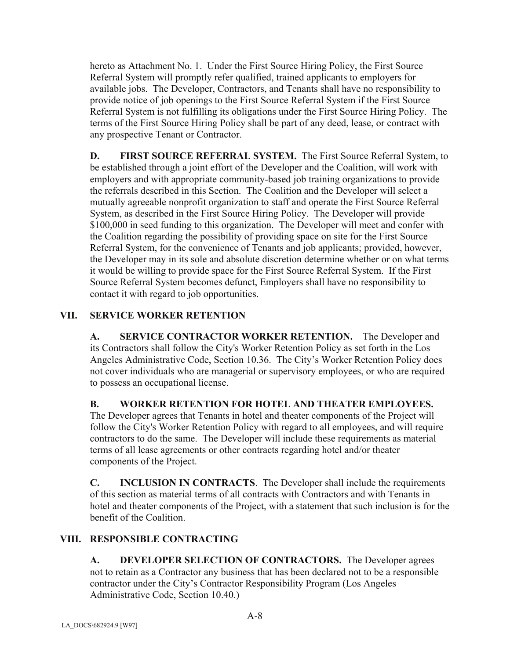hereto as Attachment No. 1. Under the First Source Hiring Policy, the First Source Referral System will promptly refer qualified, trained applicants to employers for available jobs. The Developer, Contractors, and Tenants shall have no responsibility to provide notice of job openings to the First Source Referral System if the First Source Referral System is not fulfilling its obligations under the First Source Hiring Policy. The terms of the First Source Hiring Policy shall be part of any deed, lease, or contract with any prospective Tenant or Contractor.

**D. FIRST SOURCE REFERRAL SYSTEM.** The First Source Referral System, to be established through a joint effort of the Developer and the Coalition, will work with employers and with appropriate community-based job training organizations to provide the referrals described in this Section. The Coalition and the Developer will select a mutually agreeable nonprofit organization to staff and operate the First Source Referral System, as described in the First Source Hiring Policy. The Developer will provide \$100,000 in seed funding to this organization. The Developer will meet and confer with the Coalition regarding the possibility of providing space on site for the First Source Referral System, for the convenience of Tenants and job applicants; provided, however, the Developer may in its sole and absolute discretion determine whether or on what terms it would be willing to provide space for the First Source Referral System. If the First Source Referral System becomes defunct, Employers shall have no responsibility to contact it with regard to job opportunities.

# **VII. SERVICE WORKER RETENTION**

**A. SERVICE CONTRACTOR WORKER RETENTION.** The Developer and its Contractors shall follow the City's Worker Retention Policy as set forth in the Los Angeles Administrative Code, Section 10.36. The City's Worker Retention Policy does not cover individuals who are managerial or supervisory employees, or who are required to possess an occupational license.

**B. WORKER RETENTION FOR HOTEL AND THEATER EMPLOYEES.** 

The Developer agrees that Tenants in hotel and theater components of the Project will follow the City's Worker Retention Policy with regard to all employees, and will require contractors to do the same. The Developer will include these requirements as material terms of all lease agreements or other contracts regarding hotel and/or theater components of the Project.

**C. INCLUSION IN CONTRACTS**. The Developer shall include the requirements of this section as material terms of all contracts with Contractors and with Tenants in hotel and theater components of the Project, with a statement that such inclusion is for the benefit of the Coalition.

### **VIII. RESPONSIBLE CONTRACTING**

**A. DEVELOPER SELECTION OF CONTRACTORS.** The Developer agrees not to retain as a Contractor any business that has been declared not to be a responsible contractor under the City's Contractor Responsibility Program (Los Angeles Administrative Code, Section 10.40.)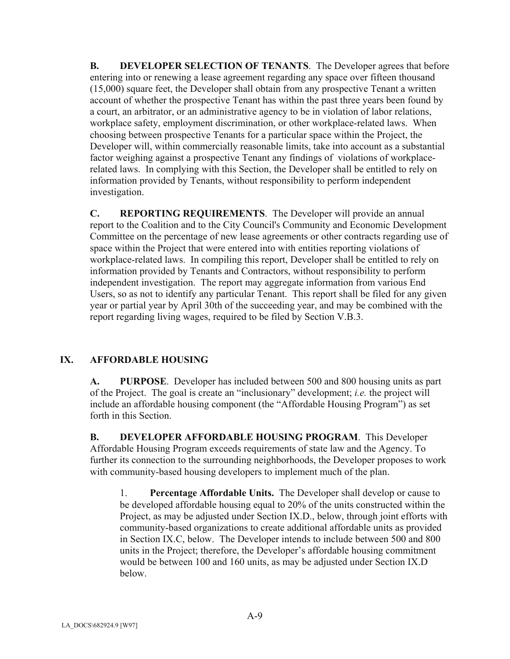**B.** DEVELOPER SELECTION OF TENANTS. The Developer agrees that before entering into or renewing a lease agreement regarding any space over fifteen thousand (15,000) square feet, the Developer shall obtain from any prospective Tenant a written account of whether the prospective Tenant has within the past three years been found by a court, an arbitrator, or an administrative agency to be in violation of labor relations, workplace safety, employment discrimination, or other workplace-related laws. When choosing between prospective Tenants for a particular space within the Project, the Developer will, within commercially reasonable limits, take into account as a substantial factor weighing against a prospective Tenant any findings of violations of workplacerelated laws. In complying with this Section, the Developer shall be entitled to rely on information provided by Tenants, without responsibility to perform independent investigation.

**C. REPORTING REQUIREMENTS**. The Developer will provide an annual report to the Coalition and to the City Council's Community and Economic Development Committee on the percentage of new lease agreements or other contracts regarding use of space within the Project that were entered into with entities reporting violations of workplace-related laws. In compiling this report, Developer shall be entitled to rely on information provided by Tenants and Contractors, without responsibility to perform independent investigation. The report may aggregate information from various End Users, so as not to identify any particular Tenant. This report shall be filed for any given year or partial year by April 30th of the succeeding year, and may be combined with the report regarding living wages, required to be filed by Section V.B.3.

# **IX. AFFORDABLE HOUSING**

**A. PURPOSE**. Developer has included between 500 and 800 housing units as part of the Project. The goal is create an "inclusionary" development; *i.e.* the project will include an affordable housing component (the "Affordable Housing Program") as set forth in this Section.

**B. DEVELOPER AFFORDABLE HOUSING PROGRAM**. This Developer Affordable Housing Program exceeds requirements of state law and the Agency. To further its connection to the surrounding neighborhoods, the Developer proposes to work with community-based housing developers to implement much of the plan.

1. **Percentage Affordable Units.** The Developer shall develop or cause to be developed affordable housing equal to 20% of the units constructed within the Project, as may be adjusted under Section IX.D., below, through joint efforts with community-based organizations to create additional affordable units as provided in Section IX.C, below. The Developer intends to include between 500 and 800 units in the Project; therefore, the Developer's affordable housing commitment would be between 100 and 160 units, as may be adjusted under Section IX.D below.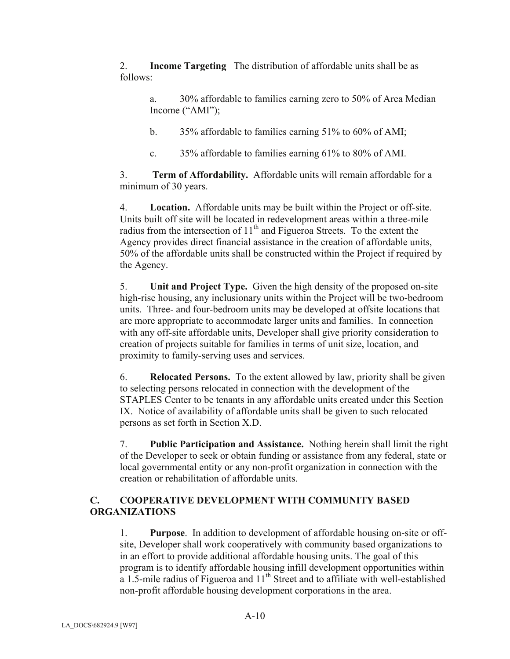2. **Income Targeting** The distribution of affordable units shall be as follows:

a. 30% affordable to families earning zero to 50% of Area Median Income ("AMI");

b. 35% affordable to families earning 51% to 60% of AMI;

c. 35% affordable to families earning 61% to 80% of AMI.

3. **Term of Affordability.** Affordable units will remain affordable for a minimum of 30 years.

4. **Location.** Affordable units may be built within the Project or off-site. Units built off site will be located in redevelopment areas within a three-mile radius from the intersection of  $11<sup>th</sup>$  and Figueroa Streets. To the extent the Agency provides direct financial assistance in the creation of affordable units, 50% of the affordable units shall be constructed within the Project if required by the Agency.

5. **Unit and Project Type.** Given the high density of the proposed on-site high-rise housing, any inclusionary units within the Project will be two-bedroom units. Three- and four-bedroom units may be developed at offsite locations that are more appropriate to accommodate larger units and families. In connection with any off-site affordable units, Developer shall give priority consideration to creation of projects suitable for families in terms of unit size, location, and proximity to family-serving uses and services.

6. **Relocated Persons.** To the extent allowed by law, priority shall be given to selecting persons relocated in connection with the development of the STAPLES Center to be tenants in any affordable units created under this Section IX. Notice of availability of affordable units shall be given to such relocated persons as set forth in Section X.D.

7. **Public Participation and Assistance.** Nothing herein shall limit the right of the Developer to seek or obtain funding or assistance from any federal, state or local governmental entity or any non-profit organization in connection with the creation or rehabilitation of affordable units.

# **C. COOPERATIVE DEVELOPMENT WITH COMMUNITY BASED ORGANIZATIONS**

1. **Purpose**. In addition to development of affordable housing on-site or offsite, Developer shall work cooperatively with community based organizations to in an effort to provide additional affordable housing units. The goal of this program is to identify affordable housing infill development opportunities within a 1.5-mile radius of Figueroa and  $11<sup>th</sup>$  Street and to affiliate with well-established non-profit affordable housing development corporations in the area.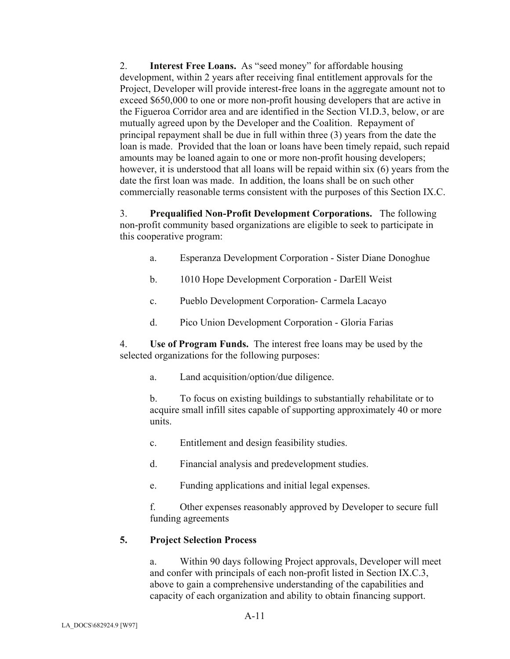2. **Interest Free Loans.** As "seed money" for affordable housing development, within 2 years after receiving final entitlement approvals for the Project, Developer will provide interest-free loans in the aggregate amount not to exceed \$650,000 to one or more non-profit housing developers that are active in the Figueroa Corridor area and are identified in the Section VI.D.3, below, or are mutually agreed upon by the Developer and the Coalition. Repayment of principal repayment shall be due in full within three (3) years from the date the loan is made. Provided that the loan or loans have been timely repaid, such repaid amounts may be loaned again to one or more non-profit housing developers; however, it is understood that all loans will be repaid within six (6) years from the date the first loan was made. In addition, the loans shall be on such other commercially reasonable terms consistent with the purposes of this Section IX.C.

3. **Prequalified Non-Profit Development Corporations.** The following non-profit community based organizations are eligible to seek to participate in this cooperative program:

- a. Esperanza Development Corporation Sister Diane Donoghue
- b. 1010 Hope Development Corporation DarEll Weist
- c. Pueblo Development Corporation- Carmela Lacayo
- d. Pico Union Development Corporation Gloria Farias

4. **Use of Program Funds.** The interest free loans may be used by the selected organizations for the following purposes:

a. Land acquisition/option/due diligence.

b. To focus on existing buildings to substantially rehabilitate or to acquire small infill sites capable of supporting approximately 40 or more units.

- c. Entitlement and design feasibility studies.
- d. Financial analysis and predevelopment studies.
- e. Funding applications and initial legal expenses.

f. Other expenses reasonably approved by Developer to secure full funding agreements

### **5. Project Selection Process**

a. Within 90 days following Project approvals, Developer will meet and confer with principals of each non-profit listed in Section IX.C.3, above to gain a comprehensive understanding of the capabilities and capacity of each organization and ability to obtain financing support.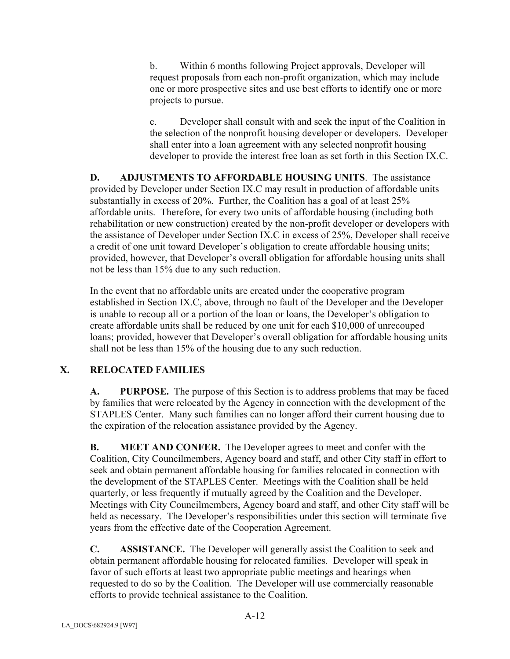b. Within 6 months following Project approvals, Developer will request proposals from each non-profit organization, which may include one or more prospective sites and use best efforts to identify one or more projects to pursue.

c. Developer shall consult with and seek the input of the Coalition in the selection of the nonprofit housing developer or developers. Developer shall enter into a loan agreement with any selected nonprofit housing developer to provide the interest free loan as set forth in this Section IX.C.

**D. ADJUSTMENTS TO AFFORDABLE HOUSING UNITS**. The assistance provided by Developer under Section IX.C may result in production of affordable units substantially in excess of 20%. Further, the Coalition has a goal of at least 25% affordable units. Therefore, for every two units of affordable housing (including both rehabilitation or new construction) created by the non-profit developer or developers with the assistance of Developer under Section IX.C in excess of 25%, Developer shall receive a credit of one unit toward Developer's obligation to create affordable housing units; provided, however, that Developer's overall obligation for affordable housing units shall not be less than 15% due to any such reduction.

In the event that no affordable units are created under the cooperative program established in Section IX.C, above, through no fault of the Developer and the Developer is unable to recoup all or a portion of the loan or loans, the Developer's obligation to create affordable units shall be reduced by one unit for each \$10,000 of unrecouped loans; provided, however that Developer's overall obligation for affordable housing units shall not be less than 15% of the housing due to any such reduction.

# **X. RELOCATED FAMILIES**

**A. PURPOSE.** The purpose of this Section is to address problems that may be faced by families that were relocated by the Agency in connection with the development of the STAPLES Center. Many such families can no longer afford their current housing due to the expiration of the relocation assistance provided by the Agency.

**B. MEET AND CONFER.** The Developer agrees to meet and confer with the Coalition, City Councilmembers, Agency board and staff, and other City staff in effort to seek and obtain permanent affordable housing for families relocated in connection with the development of the STAPLES Center. Meetings with the Coalition shall be held quarterly, or less frequently if mutually agreed by the Coalition and the Developer. Meetings with City Councilmembers, Agency board and staff, and other City staff will be held as necessary. The Developer's responsibilities under this section will terminate five years from the effective date of the Cooperation Agreement.

**C. ASSISTANCE.** The Developer will generally assist the Coalition to seek and obtain permanent affordable housing for relocated families. Developer will speak in favor of such efforts at least two appropriate public meetings and hearings when requested to do so by the Coalition. The Developer will use commercially reasonable efforts to provide technical assistance to the Coalition.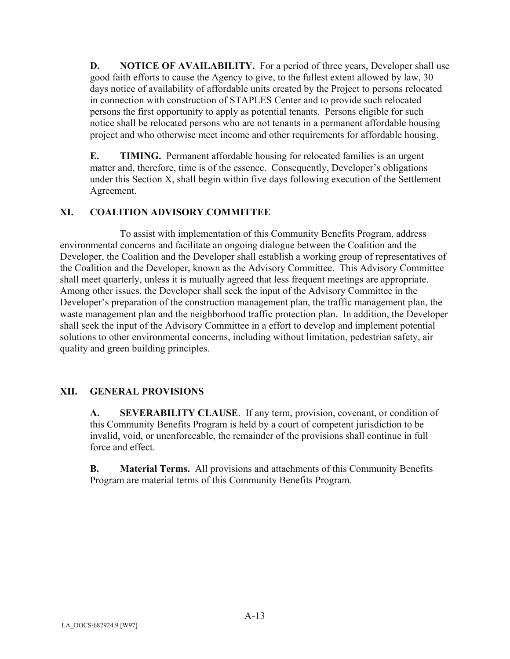**D.** NOTICE OF AVAILABILITY. For a period of three years, Developer shall use good faith efforts to cause the Agency to give, to the fullest extent allowed by law, 30 days notice of availability of affordable units created by the Project to persons relocated in connection with construction of STAPLES Center and to provide such relocated persons the first opportunity to apply as potential tenants. Persons eligible for such notice shall be relocated persons who are not tenants in a permanent affordable housing project and who otherwise meet income and other requirements for affordable housing.

**E.** TIMING. Permanent affordable housing for relocated families is an urgent matter and, therefore, time is of the essence. Consequently, Developer's obligations under this Section X, shall begin within five days following execution of the Settlement Agreement.

# **XI. COALITION ADVISORY COMMITTEE**

To assist with implementation of this Community Benefits Program, address environmental concerns and facilitate an ongoing dialogue between the Coalition and the Developer, the Coalition and the Developer shall establish a working group of representatives of the Coalition and the Developer, known as the Advisory Committee. This Advisory Committee shall meet quarterly, unless it is mutually agreed that less frequent meetings are appropriate. Among other issues, the Developer shall seek the input of the Advisory Committee in the Developer's preparation of the construction management plan, the traffic management plan, the waste management plan and the neighborhood traffic protection plan. In addition, the Developer shall seek the input of the Advisory Committee in a effort to develop and implement potential solutions to other environmental concerns, including without limitation, pedestrian safety, air quality and green building principles.

### **XII. GENERAL PROVISIONS**

**A. SEVERABILITY CLAUSE**. If any term, provision, covenant, or condition of this Community Benefits Program is held by a court of competent jurisdiction to be invalid, void, or unenforceable, the remainder of the provisions shall continue in full force and effect.

**B. Material Terms.** All provisions and attachments of this Community Benefits Program are material terms of this Community Benefits Program.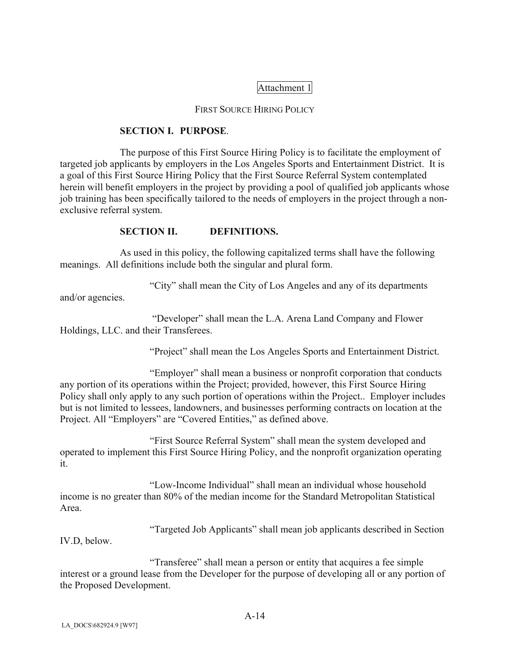# Attachment 1

#### FIRST SOURCE HIRING POLICY

#### **SECTION I. PURPOSE**.

The purpose of this First Source Hiring Policy is to facilitate the employment of targeted job applicants by employers in the Los Angeles Sports and Entertainment District. It is a goal of this First Source Hiring Policy that the First Source Referral System contemplated herein will benefit employers in the project by providing a pool of qualified job applicants whose job training has been specifically tailored to the needs of employers in the project through a nonexclusive referral system.

### **SECTION II. DEFINITIONS.**

As used in this policy, the following capitalized terms shall have the following meanings. All definitions include both the singular and plural form.

"City" shall mean the City of Los Angeles and any of its departments

and/or agencies.

 "Developer" shall mean the L.A. Arena Land Company and Flower Holdings, LLC. and their Transferees.

"Project" shall mean the Los Angeles Sports and Entertainment District.

 "Employer" shall mean a business or nonprofit corporation that conducts any portion of its operations within the Project; provided, however, this First Source Hiring Policy shall only apply to any such portion of operations within the Project.. Employer includes but is not limited to lessees, landowners, and businesses performing contracts on location at the Project. All "Employers" are "Covered Entities," as defined above.

 "First Source Referral System" shall mean the system developed and operated to implement this First Source Hiring Policy, and the nonprofit organization operating it.

"Low-Income Individual" shall mean an individual whose household income is no greater than 80% of the median income for the Standard Metropolitan Statistical Area.

"Targeted Job Applicants" shall mean job applicants described in Section

IV.D, below.

 "Transferee" shall mean a person or entity that acquires a fee simple interest or a ground lease from the Developer for the purpose of developing all or any portion of the Proposed Development.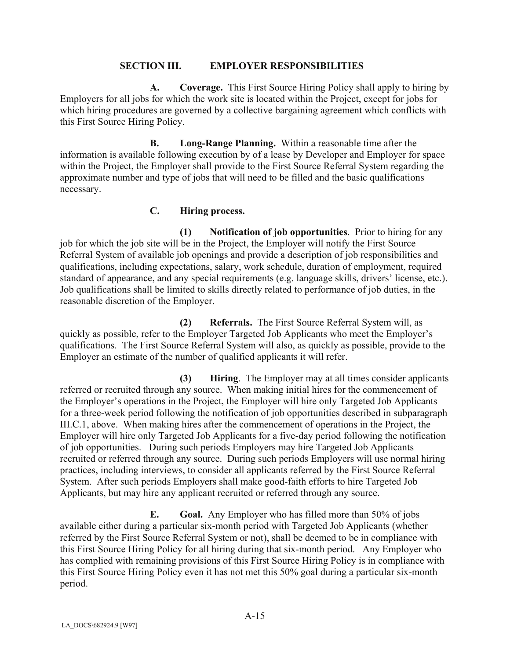#### **SECTION III. EMPLOYER RESPONSIBILITIES**

 **A. Coverage.** This First Source Hiring Policy shall apply to hiring by Employers for all jobs for which the work site is located within the Project, except for jobs for which hiring procedures are governed by a collective bargaining agreement which conflicts with this First Source Hiring Policy.

 **B. Long-Range Planning.** Within a reasonable time after the information is available following execution by of a lease by Developer and Employer for space within the Project, the Employer shall provide to the First Source Referral System regarding the approximate number and type of jobs that will need to be filled and the basic qualifications necessary.

### **C. Hiring process.**

 **(1) Notification of job opportunities**. Prior to hiring for any job for which the job site will be in the Project, the Employer will notify the First Source Referral System of available job openings and provide a description of job responsibilities and qualifications, including expectations, salary, work schedule, duration of employment, required standard of appearance, and any special requirements (e.g. language skills, drivers' license, etc.). Job qualifications shall be limited to skills directly related to performance of job duties, in the reasonable discretion of the Employer.

 **(2) Referrals.** The First Source Referral System will, as quickly as possible, refer to the Employer Targeted Job Applicants who meet the Employer's qualifications. The First Source Referral System will also, as quickly as possible, provide to the Employer an estimate of the number of qualified applicants it will refer.

 **(3) Hiring**. The Employer may at all times consider applicants referred or recruited through any source. When making initial hires for the commencement of the Employer's operations in the Project, the Employer will hire only Targeted Job Applicants for a three-week period following the notification of job opportunities described in subparagraph III.C.1, above. When making hires after the commencement of operations in the Project, the Employer will hire only Targeted Job Applicants for a five-day period following the notification of job opportunities. During such periods Employers may hire Targeted Job Applicants recruited or referred through any source. During such periods Employers will use normal hiring practices, including interviews, to consider all applicants referred by the First Source Referral System. After such periods Employers shall make good-faith efforts to hire Targeted Job Applicants, but may hire any applicant recruited or referred through any source.

**E.** Goal. Any Employer who has filled more than 50% of jobs available either during a particular six-month period with Targeted Job Applicants (whether referred by the First Source Referral System or not), shall be deemed to be in compliance with this First Source Hiring Policy for all hiring during that six-month period. Any Employer who has complied with remaining provisions of this First Source Hiring Policy is in compliance with this First Source Hiring Policy even it has not met this 50% goal during a particular six-month period.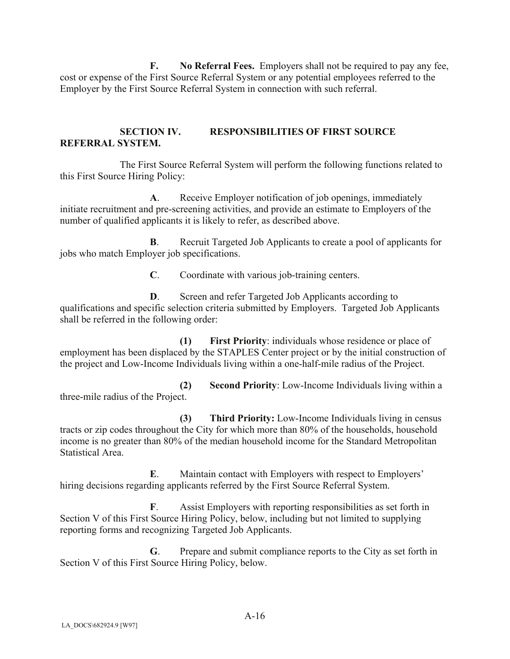**F. No Referral Fees.** Employers shall not be required to pay any fee, cost or expense of the First Source Referral System or any potential employees referred to the Employer by the First Source Referral System in connection with such referral.

# **SECTION IV. RESPONSIBILITIES OF FIRST SOURCE REFERRAL SYSTEM.**

The First Source Referral System will perform the following functions related to this First Source Hiring Policy:

**A**. Receive Employer notification of job openings, immediately initiate recruitment and pre-screening activities, and provide an estimate to Employers of the number of qualified applicants it is likely to refer, as described above.

**B.** Recruit Targeted Job Applicants to create a pool of applicants for jobs who match Employer job specifications.

**C**. Coordinate with various job-training centers.

**D**. Screen and refer Targeted Job Applicants according to qualifications and specific selection criteria submitted by Employers. Targeted Job Applicants shall be referred in the following order:

 **(1) First Priority**: individuals whose residence or place of employment has been displaced by the STAPLES Center project or by the initial construction of the project and Low-Income Individuals living within a one-half-mile radius of the Project.

 **(2) Second Priority**: Low-Income Individuals living within a three-mile radius of the Project.

 **(3) Third Priority:** Low-Income Individuals living in census tracts or zip codes throughout the City for which more than 80% of the households, household income is no greater than 80% of the median household income for the Standard Metropolitan Statistical Area.

**E**. Maintain contact with Employers with respect to Employers' hiring decisions regarding applicants referred by the First Source Referral System.

**F**. Assist Employers with reporting responsibilities as set forth in Section V of this First Source Hiring Policy, below, including but not limited to supplying reporting forms and recognizing Targeted Job Applicants.

**G**. Prepare and submit compliance reports to the City as set forth in Section V of this First Source Hiring Policy, below.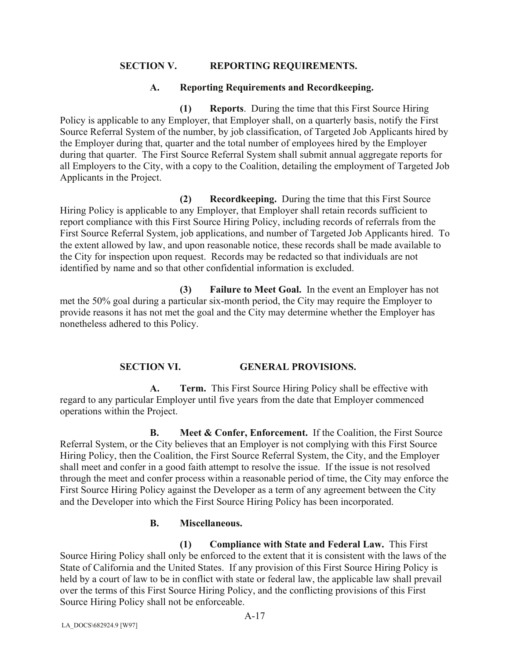### **SECTION V. REPORTING REQUIREMENTS.**

### **A. Reporting Requirements and Recordkeeping.**

 **(1) Reports**. During the time that this First Source Hiring Policy is applicable to any Employer, that Employer shall, on a quarterly basis, notify the First Source Referral System of the number, by job classification, of Targeted Job Applicants hired by the Employer during that, quarter and the total number of employees hired by the Employer during that quarter. The First Source Referral System shall submit annual aggregate reports for all Employers to the City, with a copy to the Coalition, detailing the employment of Targeted Job Applicants in the Project.

 **(2) Recordkeeping.** During the time that this First Source Hiring Policy is applicable to any Employer, that Employer shall retain records sufficient to report compliance with this First Source Hiring Policy, including records of referrals from the First Source Referral System, job applications, and number of Targeted Job Applicants hired. To the extent allowed by law, and upon reasonable notice, these records shall be made available to the City for inspection upon request. Records may be redacted so that individuals are not identified by name and so that other confidential information is excluded.

 **(3) Failure to Meet Goal.** In the event an Employer has not met the 50% goal during a particular six-month period, the City may require the Employer to provide reasons it has not met the goal and the City may determine whether the Employer has nonetheless adhered to this Policy.

### **SECTION VI. GENERAL PROVISIONS.**

 **A. Term.** This First Source Hiring Policy shall be effective with regard to any particular Employer until five years from the date that Employer commenced operations within the Project.

**B.** Meet & Confer, Enforcement. If the Coalition, the First Source Referral System, or the City believes that an Employer is not complying with this First Source Hiring Policy, then the Coalition, the First Source Referral System, the City, and the Employer shall meet and confer in a good faith attempt to resolve the issue. If the issue is not resolved through the meet and confer process within a reasonable period of time, the City may enforce the First Source Hiring Policy against the Developer as a term of any agreement between the City and the Developer into which the First Source Hiring Policy has been incorporated.

### **B. Miscellaneous.**

 **(1) Compliance with State and Federal Law.** This First Source Hiring Policy shall only be enforced to the extent that it is consistent with the laws of the State of California and the United States. If any provision of this First Source Hiring Policy is held by a court of law to be in conflict with state or federal law, the applicable law shall prevail over the terms of this First Source Hiring Policy, and the conflicting provisions of this First Source Hiring Policy shall not be enforceable.